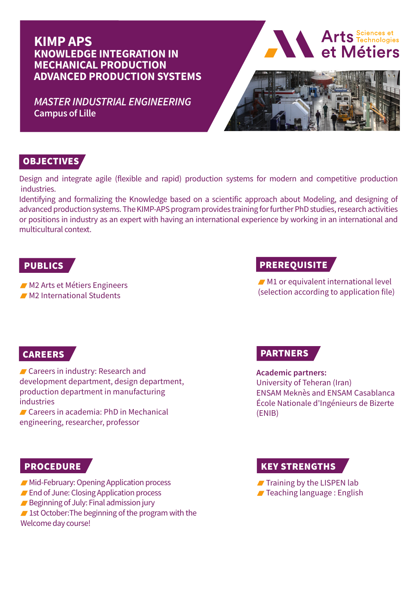# **KIMP APS KNOWLEDGE INTEGRATION IN MECHANICAL PRODUCTION ADVANCED PRODUCTION SYSTEMS**

*MASTER INDUSTRIAL ENGINEERING* **Campus of Lille**



## OBJECTIVES

Design and integrate agile (flexible and rapid) production systems for modern and competitive production industries.

Identifying and formalizing the Knowledge based on a scientific approach about Modeling, and designing of advanced production systems. The KIMP-APS program provides training for further PhD studies, research activities or positions in industry as an expert with having an international experience by working in an international and multicultural context.

M2 Arts et Métiers Engineers

M2 International Students

## PUBLICS AND REAL PREREQUISITE

 $M1$  or equivalent international level (selection according to application file)

## CAREERS

**Careers in industry: Research and** development department, design department, production department in manufacturing industries

 Careers in academia: PhD in Mechanical engineering, researcher, professor

# PARTNERS

**Academic partners:** University of Teheran (Iran) ENSAM Meknès and ENSAM Casablanca École Nationale d'Ingénieurs de Bizerte (ENIB)

- **Mid-February: Opening Application process**
- **End of June: Closing Application process**
- Beginning of July: Final admission jury

 $\blacksquare$  1st October: The beginning of the program with the Welcome day course!

### PROCEDURE A SERVICE OF THE REVISION OF THE REVISION OF THE REVISION OF THE REVISION OF THE REVISION OF THE REVISION OF THE REVISION OF THE REVISION OF THE REVISION OF THE REVISION OF THE REVISION OF THE REVISION OF THE REV

 $\blacksquare$  Training by the LISPEN lab **Teaching language: English**